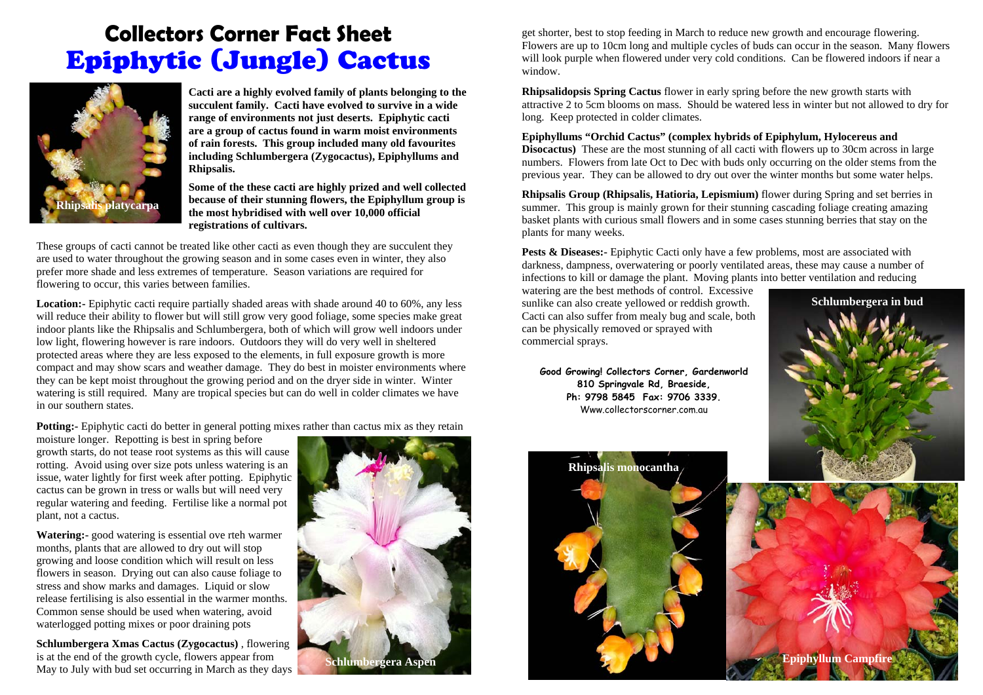## **Collectors Corner Fact Sheet**  Epiphytic (Jungle) Cactus



**Cacti are a highly evolved family of plants belonging to the succulent family. Cacti have evolved to survive in a wide range of environments not just deserts. Epiphytic cacti are a group of cactus found in warm moist environments of rain forests. This group included many old favourites including Schlumbergera (Zygocactus), Epiphyllums and Rhipsalis.** 

**Some of the these cacti are highly prized and well collected because of their stunning flowers, the Epiphyllum group is the most hybridised with well over 10,000 official registrations of cultivars.** 

These groups of cacti cannot be treated like other cacti as even though they are succulent they are used to water throughout the growing season and in some cases even in winter, they also prefer more shade and less extremes of temperature. Season variations are required for flowering to occur, this varies between families.

**Location:** Epiphytic cacti require partially shaded areas with shade around 40 to 60%, any less will reduce their ability to flower but will still grow very good foliage, some species make great indoor plants like the Rhipsalis and Schlumbergera, both of which will grow well indoors under low light, flowering however is rare indoors. Outdoors they will do very well in sheltered protected areas where they are less exposed to the elements, in full exposure growth is more compact and may show scars and weather damage. They do best in moister environments where they can be kept moist throughout the growing period and on the dryer side in winter. Winter watering is still required. Many are tropical species but can do well in colder climates we have in our southern states.

**Potting:** Epiphytic cacti do better in general potting mixes rather than cactus mix as they retain

moisture longer. Repotting is best in spring before growth starts, do not tease root systems as this will cause rotting. Avoid using over size pots unless watering is an issue, water lightly for first week after potting. Epiphytic cactus can be grown in tress or walls but will need very regular watering and feeding. Fertilise like a normal pot plant, not a cactus.

**Watering:-** good watering is essential ove rteh warmer months, plants that are allowed to dry out will stop growing and loose condition which will result on less flowers in season. Drying out can also cause foliage to stress and show marks and damages. Liquid or slow release fertilising is also essential in the warmer months. Common sense should be used when watering, avoid waterlogged potting mixes or poor draining pots

**Schlumbergera Xmas Cactus (Zygocactus)** , flowering is at the end of the growth cycle, flowers appear from May to July with bud set occurring in March as they days



get shorter, best to stop feeding in March to reduce new growth and encourage flowering. Flowers are up to 10cm long and multiple cycles of buds can occur in the season. Many flowers will look purple when flowered under very cold conditions. Can be flowered indoors if near a window.

**Rhipsalidopsis Spring Cactus** flower in early spring before the new growth starts with attractive 2 to 5cm blooms on mass. Should be watered less in winter but not allowed to dry for long. Keep protected in colder climates.

## **Epiphyllums "Orchid Cactus" (complex hybrids of Epiphylum, Hylocereus and**

**Disocactus)** These are the most stunning of all cacti with flowers up to 30cm across in large numbers. Flowers from late Oct to Dec with buds only occurring on the older stems from the previous year. They can be allowed to dry out over the winter months but some water helps.

**Rhipsalis Group (Rhipsalis, Hatioria, Lepismium)** flower during Spring and set berries in summer. This group is mainly grown for their stunning cascading foliage creating amazing basket plants with curious small flowers and in some cases stunning berries that stay on the plants for many weeks.

**Pests & Diseases:** Epiphytic Cacti only have a few problems, most are associated with darkness, dampness, overwatering or poorly ventilated areas, these may cause a number of infections to kill or damage the plant. Moving plants into better ventilation and reducing

watering are the best methods of control. Excessive sunlike can also create yellowed or reddish growth. Cacti can also suffer from mealy bug and scale, both can be physically removed or sprayed with commercial sprays.

**Good Growing! Collectors Corner, Gardenworld 810 Springvale Rd, Braeside, Ph: 9798 5845 Fax: 9706 3339.**  Www.collectorscorner.com.au